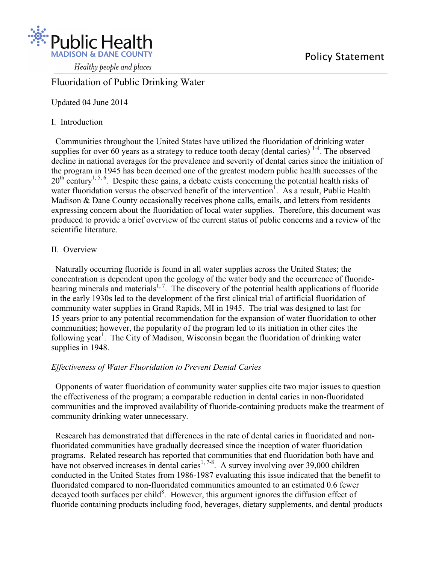

Healthy people and places

# Fluoridation of Public Drinking Water

Updated 04 June 2014

## I. Introduction

 Communities throughout the United States have utilized the fluoridation of drinking water supplies for over 60 years as a strategy to reduce tooth decay (dental caries)  $1-4$ . The observed decline in national averages for the prevalence and severity of dental caries since the initiation of the program in 1945 has been deemed one of the greatest modern public health successes of the  $20^{th}$  century<sup>1, 5, 6</sup>. Despite these gains, a debate exists concerning the potential health risks of water fluoridation versus the observed benefit of the intervention<sup>1</sup>. As a result, Public Health Madison & Dane County occasionally receives phone calls, emails, and letters from residents expressing concern about the fluoridation of local water supplies. Therefore, this document was produced to provide a brief overview of the current status of public concerns and a review of the scientific literature.

## II. Overview

 Naturally occurring fluoride is found in all water supplies across the United States; the concentration is dependent upon the geology of the water body and the occurrence of fluoridebearing minerals and materials<sup>1, 7</sup>. The discovery of the potential health applications of fluoride in the early 1930s led to the development of the first clinical trial of artificial fluoridation of community water supplies in Grand Rapids, MI in 1945. The trial was designed to last for 15 years prior to any potential recommendation for the expansion of water fluoridation to other communities; however, the popularity of the program led to its initiation in other cites the following year<sup>1</sup>. The City of Madison, Wisconsin began the fluoridation of drinking water supplies in 1948.

## *Effectiveness of Water Fluoridation to Prevent Dental Caries*

 Opponents of water fluoridation of community water supplies cite two major issues to question the effectiveness of the program; a comparable reduction in dental caries in non-fluoridated communities and the improved availability of fluoride-containing products make the treatment of community drinking water unnecessary.

 Research has demonstrated that differences in the rate of dental caries in fluoridated and nonfluoridated communities have gradually decreased since the inception of water fluoridation programs. Related research has reported that communities that end fluoridation both have and have not observed increases in dental caries<sup>1, 7-8</sup>. A survey involving over 39,000 children conducted in the United States from 1986-1987 evaluating this issue indicated that the benefit to fluoridated compared to non-fluoridated communities amounted to an estimated 0.6 fewer decayed tooth surfaces per child<sup>8</sup>. However, this argument ignores the diffusion effect of fluoride containing products including food, beverages, dietary supplements, and dental products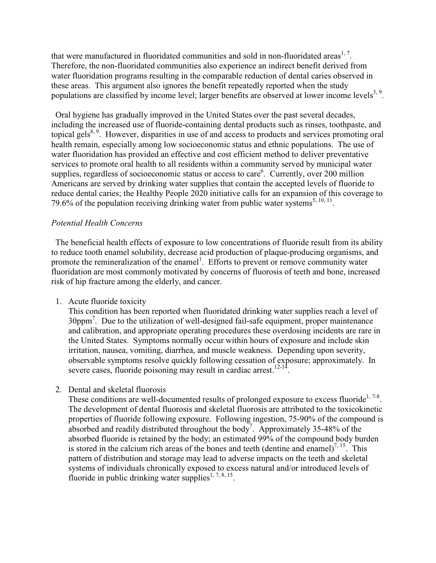that were manufactured in fluoridated communities and sold in non-fluoridated areas<sup>1, 7</sup>. Therefore, the non-fluoridated communities also experience an indirect benefit derived from water fluoridation programs resulting in the comparable reduction of dental caries observed in these areas. This argument also ignores the benefit repeatedly reported when the study populations are classified by income level; larger benefits are observed at lower income levels<sup>3, 9</sup>.

 Oral hygiene has gradually improved in the United States over the past several decades, including the increased use of fluoride-containing dental products such as rinses, toothpaste, and topical gels<sup>8, 9</sup>. However, disparities in use of and access to products and services promoting oral health remain, especially among low socioeconomic status and ethnic populations. The use of water fluoridation has provided an effective and cost efficient method to deliver preventative services to promote oral health to all residents within a community served by municipal water supplies, regardless of socioeconomic status or access to care<sup>6</sup>. Currently, over 200 million Americans are served by drinking water supplies that contain the accepted levels of fluoride to reduce dental caries; the Healthy People 2020 initiative calls for an expansion of this coverage to 79.6% of the population receiving drinking water from public water systems<sup>5, 10, 11</sup>.

#### *Potential Health Concerns*

 The beneficial health effects of exposure to low concentrations of fluoride result from its ability to reduce tooth enamel solubility, decrease acid production of plaque-producing organisms, and promote the remineralization of the enamel<sup>1</sup>. Efforts to prevent or remove community water fluoridation are most commonly motivated by concerns of fluorosis of teeth and bone, increased risk of hip fracture among the elderly, and cancer.

1. Acute fluoride toxicity

This condition has been reported when fluoridated drinking water supplies reach a level of 30ppm<sup>7</sup>. Due to the utilization of well-designed fail-safe equipment, proper maintenance and calibration, and appropriate operating procedures these overdosing incidents are rare in the United States. Symptoms normally occur within hours of exposure and include skin irritation, nausea, vomiting, diarrhea, and muscle weakness. Depending upon severity, observable symptoms resolve quickly following cessation of exposure; approximately. In severe cases, fluoride poisoning may result in cardiac arrest.<sup>12-14</sup>.

2. Dental and skeletal fluorosis

These conditions are well-documented results of prolonged exposure to excess fluoride<sup>1,7-8</sup>. The development of dental fluorosis and skeletal fluorosis are attributed to the toxicokinetic properties of fluoride following exposure. Following ingestion, 75-90% of the compound is absorbed and readily distributed throughout the body<sup>7</sup>. Approximately 35-48% of the absorbed fluoride is retained by the body; an estimated 99% of the compound body burden is stored in the calcium rich areas of the bones and teeth (dentine and enamel)<sup>7, 15</sup>. This pattern of distribution and storage may lead to adverse impacts on the teeth and skeletal systems of individuals chronically exposed to excess natural and/or introduced levels of fluoride in public drinking water supplies<sup>1, 7, 8, 15</sup>.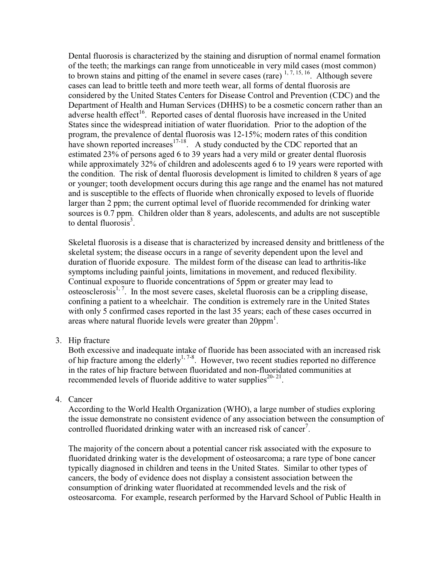Dental fluorosis is characterized by the staining and disruption of normal enamel formation of the teeth; the markings can range from unnoticeable in very mild cases (most common) to brown stains and pitting of the enamel in severe cases (rare)  $1, 7, 15, 16$ . Although severe cases can lead to brittle teeth and more teeth wear, all forms of dental fluorosis are considered by the United States Centers for Disease Control and Prevention (CDC) and the Department of Health and Human Services (DHHS) to be a cosmetic concern rather than an adverse health effect<sup>16</sup>. Reported cases of dental fluorosis have increased in the United States since the widespread initiation of water fluoridation. Prior to the adoption of the program, the prevalence of dental fluorosis was 12-15%; modern rates of this condition have shown reported increases $17-18$ . A study conducted by the CDC reported that an estimated 23% of persons aged 6 to 39 years had a very mild or greater dental fluorosis while approximately 32% of children and adolescents aged 6 to 19 years were reported with the condition. The risk of dental fluorosis development is limited to children 8 years of age or younger; tooth development occurs during this age range and the enamel has not matured and is susceptible to the effects of fluoride when chronically exposed to levels of fluoride larger than 2 ppm; the current optimal level of fluoride recommended for drinking water sources is 0.7 ppm. Children older than 8 years, adolescents, and adults are not susceptible to dental fluorosis $3$ .

Skeletal fluorosis is a disease that is characterized by increased density and brittleness of the skeletal system; the disease occurs in a range of severity dependent upon the level and duration of fluoride exposure. The mildest form of the disease can lead to arthritis-like symptoms including painful joints, limitations in movement, and reduced flexibility. Continual exposure to fluoride concentrations of 5ppm or greater may lead to osteosclerosis<sup>1, 7</sup>. In the most severe cases, skeletal fluorosis can be a crippling disease, confining a patient to a wheelchair. The condition is extremely rare in the United States with only 5 confirmed cases reported in the last 35 years; each of these cases occurred in areas where natural fluoride levels were greater than 20ppm<sup>1</sup>.

3. Hip fracture

Both excessive and inadequate intake of fluoride has been associated with an increased risk of hip fracture among the elderly<sup>1,7-8</sup>. However, two recent studies reported no difference in the rates of hip fracture between fluoridated and non-fluoridated communities at recommended levels of fluoride additive to water supplies $20-21$ .

4. Cancer

According to the World Health Organization (WHO), a large number of studies exploring the issue demonstrate no consistent evidence of any association between the consumption of controlled fluoridated drinking water with an increased risk of cancer<sup>7</sup>.

The majority of the concern about a potential cancer risk associated with the exposure to fluoridated drinking water is the development of osteosarcoma; a rare type of bone cancer typically diagnosed in children and teens in the United States. Similar to other types of cancers, the body of evidence does not display a consistent association between the consumption of drinking water fluoridated at recommended levels and the risk of osteosarcoma. For example, research performed by the Harvard School of Public Health in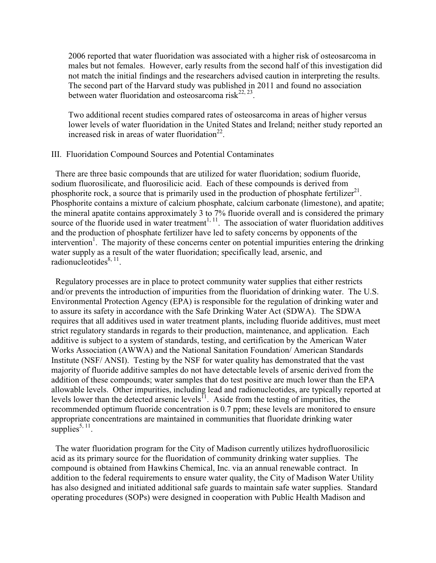2006 reported that water fluoridation was associated with a higher risk of osteosarcoma in males but not females. However, early results from the second half of this investigation did not match the initial findings and the researchers advised caution in interpreting the results. The second part of the Harvard study was published in 2011 and found no association between water fluoridation and osteosarcoma risk<sup>22, 23</sup>.

Two additional recent studies compared rates of osteosarcoma in areas of higher versus lower levels of water fluoridation in the United States and Ireland; neither study reported an increased risk in areas of water fluoridation $^{22}$ .

#### III. Fluoridation Compound Sources and Potential Contaminates

 There are three basic compounds that are utilized for water fluoridation; sodium fluoride, sodium fluorosilicate, and fluorosilicic acid. Each of these compounds is derived from phosphorite rock, a source that is primarily used in the production of phosphate fertilizer<sup>21</sup>. Phosphorite contains a mixture of calcium phosphate, calcium carbonate (limestone), and apatite; the mineral apatite contains approximately 3 to 7% fluoride overall and is considered the primary source of the fluoride used in water treatment<sup>1, 11</sup>. The association of water fluoridation additives and the production of phosphate fertilizer have led to safety concerns by opponents of the intervention<sup>1</sup>. The majority of these concerns center on potential impurities entering the drinking water supply as a result of the water fluoridation; specifically lead, arsenic, and  $radio$ nucleotides $^{8, 11}$ .

 Regulatory processes are in place to protect community water supplies that either restricts and/or prevents the introduction of impurities from the fluoridation of drinking water. The U.S. Environmental Protection Agency (EPA) is responsible for the regulation of drinking water and to assure its safety in accordance with the Safe Drinking Water Act (SDWA). The SDWA requires that all additives used in water treatment plants, including fluoride additives, must meet strict regulatory standards in regards to their production, maintenance, and application. Each additive is subject to a system of standards, testing, and certification by the American Water Works Association (AWWA) and the National Sanitation Foundation/ American Standards Institute (NSF/ ANSI). Testing by the NSF for water quality has demonstrated that the vast majority of fluoride additive samples do not have detectable levels of arsenic derived from the addition of these compounds; water samples that do test positive are much lower than the EPA allowable levels. Other impurities, including lead and radionucleotides, are typically reported at levels lower than the detected arsenic levels<sup> $\overline{1}$ </sup>. Aside from the testing of impurities, the recommended optimum fluoride concentration is 0.7 ppm; these levels are monitored to ensure appropriate concentrations are maintained in communities that fluoridate drinking water supplies<sup>5, 11</sup>.

 The water fluoridation program for the City of Madison currently utilizes hydrofluorosilicic acid as its primary source for the fluoridation of community drinking water supplies. The compound is obtained from Hawkins Chemical, Inc. via an annual renewable contract. In addition to the federal requirements to ensure water quality, the City of Madison Water Utility has also designed and initiated additional safe guards to maintain safe water supplies. Standard operating procedures (SOPs) were designed in cooperation with Public Health Madison and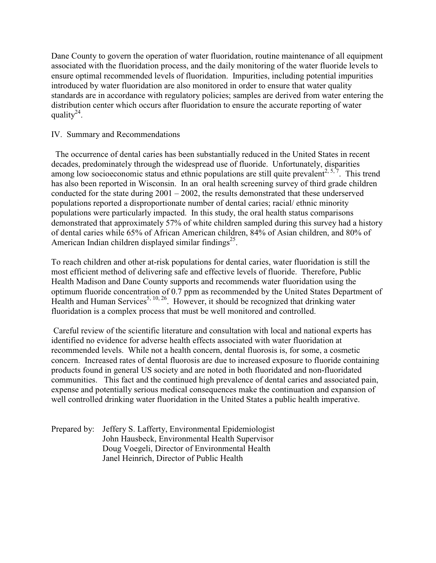Dane County to govern the operation of water fluoridation, routine maintenance of all equipment associated with the fluoridation process, and the daily monitoring of the water fluoride levels to ensure optimal recommended levels of fluoridation. Impurities, including potential impurities introduced by water fluoridation are also monitored in order to ensure that water quality standards are in accordance with regulatory policies; samples are derived from water entering the distribution center which occurs after fluoridation to ensure the accurate reporting of water quality<sup>24</sup>.

### IV. Summary and Recommendations

 The occurrence of dental caries has been substantially reduced in the United States in recent decades, predominately through the widespread use of fluoride. Unfortunately, disparities among low socioeconomic status and ethnic populations are still quite prevalent<sup>2, 5, 7</sup>. This trend has also been reported in Wisconsin. In an oral health screening survey of third grade children conducted for the state during  $2001 - 2002$ , the results demonstrated that these underserved populations reported a disproportionate number of dental caries; racial/ ethnic minority populations were particularly impacted. In this study, the oral health status comparisons demonstrated that approximately 57% of white children sampled during this survey had a history of dental caries while 65% of African American children, 84% of Asian children, and 80% of American Indian children displayed similar findings $^{25}$ .

To reach children and other at-risk populations for dental caries, water fluoridation is still the most efficient method of delivering safe and effective levels of fluoride. Therefore, Public Health Madison and Dane County supports and recommends water fluoridation using the optimum fluoride concentration of 0.7 ppm as recommended by the United States Department of Health and Human Services<sup>5, 10, 26</sup>. However, it should be recognized that drinking water fluoridation is a complex process that must be well monitored and controlled.

Careful review of the scientific literature and consultation with local and national experts has identified no evidence for adverse health effects associated with water fluoridation at recommended levels. While not a health concern, dental fluorosis is, for some, a cosmetic concern. Increased rates of dental fluorosis are due to increased exposure to fluoride containing products found in general US society and are noted in both fluoridated and non-fluoridated communities. This fact and the continued high prevalence of dental caries and associated pain, expense and potentially serious medical consequences make the continuation and expansion of well controlled drinking water fluoridation in the United States a public health imperative.

Prepared by: Jeffery S. Lafferty, Environmental Epidemiologist John Hausbeck, Environmental Health Supervisor Doug Voegeli, Director of Environmental Health Janel Heinrich, Director of Public Health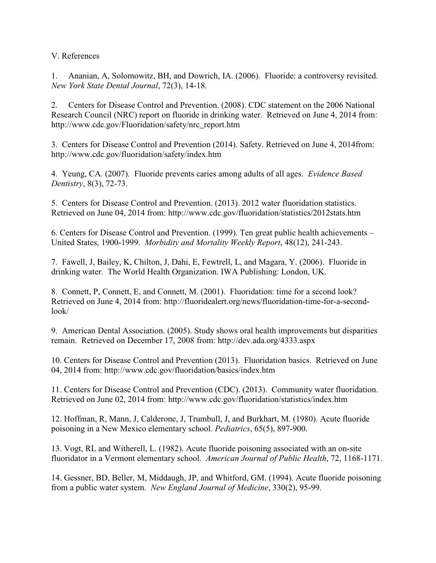V. References

1. Ananian, A, Solomowitz, BH, and Dowrich, IA. (2006). Fluoride: a controversy revisited. *New York State Dental Journal*, 72(3), 14-18.

2. Centers for Disease Control and Prevention. (2008). CDC statement on the 2006 National Research Council (NRC) report on fluoride in drinking water. Retrieved on June 4, 2014 from: http://www.cdc.gov/Fluoridation/safety/nrc\_report.htm

3. Centers for Disease Control and Prevention (2014). Safety. Retrieved on June 4, 2014from: http://www.cdc.gov/fluoridation/safety/index.htm

4. Yeung, CA. (2007). Fluoride prevents caries among adults of all ages. *Evidence Based Dentistry*, 8(3), 72-73.

5. Centers for Disease Control and Prevention. (2013). 2012 water fluoridation statistics. Retrieved on June 04, 2014 from: http://www.cdc.gov/fluoridation/statistics/2012stats.htm

6. Centers for Disease Control and Prevention. (1999). Ten great public health achievements – United States, 1900-1999. *Morbidity and Mortality Weekly Report*, 48(12), 241-243.

7. Fawell, J, Bailey, K, Chilton, J, Dahi, E, Fewtrell, L, and Magara, Y. (2006). Fluoride in drinking water. The World Health Organization. IWA Publishing: London, UK.

8. Connett, P, Connett, E, and Connett, M. (2001). Fluoridation: time for a second look? Retrieved on June 4, 2014 from: http://fluoridealert.org/news/fluoridation-time-for-a-secondlook/

9. American Dental Association. (2005). Study shows oral health improvements but disparities remain. Retrieved on December 17, 2008 from: http://dev.ada.org/4333.aspx

10. Centers for Disease Control and Prevention (2013). Fluoridation basics. Retrieved on June 04, 2014 from: http://www.cdc.gov/fluoridation/basics/index.htm

11. Centers for Disease Control and Prevention (CDC). (2013). Community water fluoridation. Retrieved on June 02, 2014 from: http://www.cdc.gov/fluoridation/statistics/index.htm

12. Hoffman, R, Mann, J, Calderone, J, Trumbull, J, and Burkhart, M. (1980). Acute fluoride poisoning in a New Mexico elementary school. *Pediatrics*, 65(5), 897-900.

13. Vogt, RL and Witherell, L. (1982). Acute fluoride poisoning associated with an on-site fluoridator in a Vermont elementary school. *American Journal of Public Health*, 72, 1168-1171.

14. Gessner, BD, Beller, M, Middaugh, JP, and Whitford, GM. (1994). Acute fluoride poisoning from a public water system. *New England Journal of Medicine*, 330(2), 95-99.